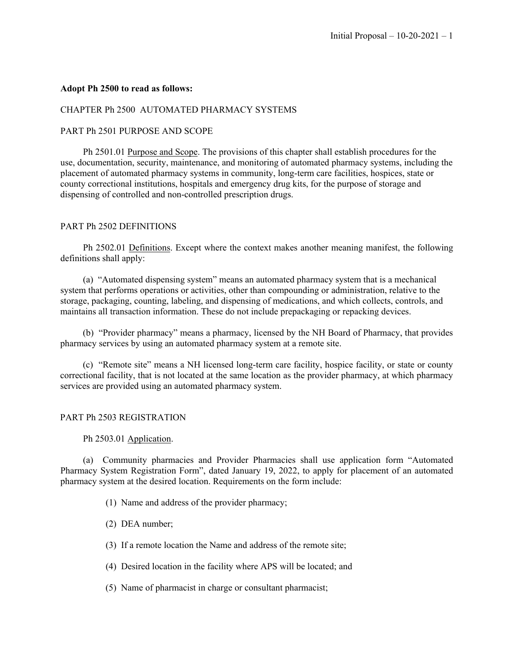## **Adopt Ph 2500 to read as follows:**

### CHAPTER Ph 2500 AUTOMATED PHARMACY SYSTEMS

## PART Ph 2501 PURPOSE AND SCOPE

Ph 2501.01 Purpose and Scope. The provisions of this chapter shall establish procedures for the use, documentation, security, maintenance, and monitoring of automated pharmacy systems, including the placement of automated pharmacy systems in community, long-term care facilities, hospices, state or county correctional institutions, hospitals and emergency drug kits, for the purpose of storage and dispensing of controlled and non-controlled prescription drugs.

## PART Ph 2502 DEFINITIONS

Ph 2502.01 Definitions. Except where the context makes another meaning manifest, the following definitions shall apply:

(a) "Automated dispensing system" means an automated pharmacy system that is a mechanical system that performs operations or activities, other than compounding or administration, relative to the storage, packaging, counting, labeling, and dispensing of medications, and which collects, controls, and maintains all transaction information. These do not include prepackaging or repacking devices.

(b) "Provider pharmacy" means a pharmacy, licensed by the NH Board of Pharmacy, that provides pharmacy services by using an automated pharmacy system at a remote site.

(c) "Remote site" means a NH licensed long-term care facility, hospice facility, or state or county correctional facility, that is not located at the same location as the provider pharmacy, at which pharmacy services are provided using an automated pharmacy system.

# PART Ph 2503 REGISTRATION

Ph 2503.01 Application.

(a) Community pharmacies and Provider Pharmacies shall use application form "Automated Pharmacy System Registration Form", dated January 19, 2022, to apply for placement of an automated pharmacy system at the desired location. Requirements on the form include:

- (1) Name and address of the provider pharmacy;
- (2) DEA number;
- (3) If a remote location the Name and address of the remote site;
- (4) Desired location in the facility where APS will be located; and
- (5) Name of pharmacist in charge or consultant pharmacist;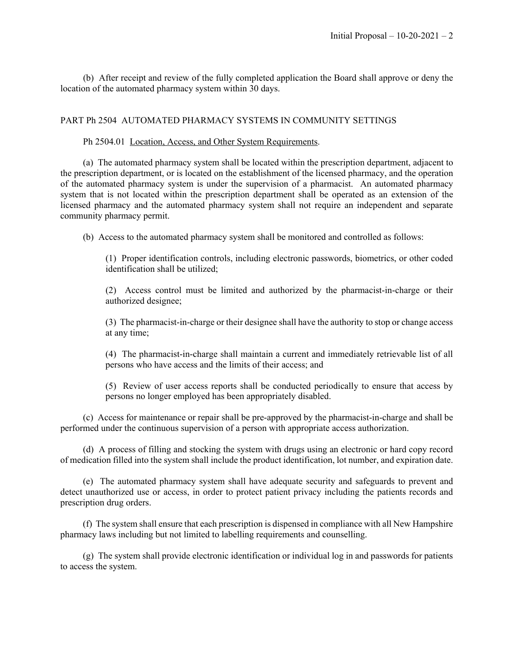(b) After receipt and review of the fully completed application the Board shall approve or deny the location of the automated pharmacy system within 30 days.

# PART Ph 2504 AUTOMATED PHARMACY SYSTEMS IN COMMUNITY SETTINGS

#### Ph 2504.01 Location, Access, and Other System Requirements.

(a) The automated pharmacy system shall be located within the prescription department, adjacent to the prescription department, or is located on the establishment of the licensed pharmacy, and the operation of the automated pharmacy system is under the supervision of a pharmacist. An automated pharmacy system that is not located within the prescription department shall be operated as an extension of the licensed pharmacy and the automated pharmacy system shall not require an independent and separate community pharmacy permit.

(b) Access to the automated pharmacy system shall be monitored and controlled as follows:

(1) Proper identification controls, including electronic passwords, biometrics, or other coded identification shall be utilized;

(2) Access control must be limited and authorized by the pharmacist-in-charge or their authorized designee;

(3) The pharmacist-in-charge or their designee shall have the authority to stop or change access at any time;

(4) The pharmacist-in-charge shall maintain a current and immediately retrievable list of all persons who have access and the limits of their access; and

(5) Review of user access reports shall be conducted periodically to ensure that access by persons no longer employed has been appropriately disabled.

(c) Access for maintenance or repair shall be pre-approved by the pharmacist-in-charge and shall be performed under the continuous supervision of a person with appropriate access authorization.

(d) A process of filling and stocking the system with drugs using an electronic or hard copy record of medication filled into the system shall include the product identification, lot number, and expiration date.

(e) The automated pharmacy system shall have adequate security and safeguards to prevent and detect unauthorized use or access, in order to protect patient privacy including the patients records and prescription drug orders.

(f) The system shall ensure that each prescription is dispensed in compliance with all New Hampshire pharmacy laws including but not limited to labelling requirements and counselling.

(g) The system shall provide electronic identification or individual log in and passwords for patients to access the system.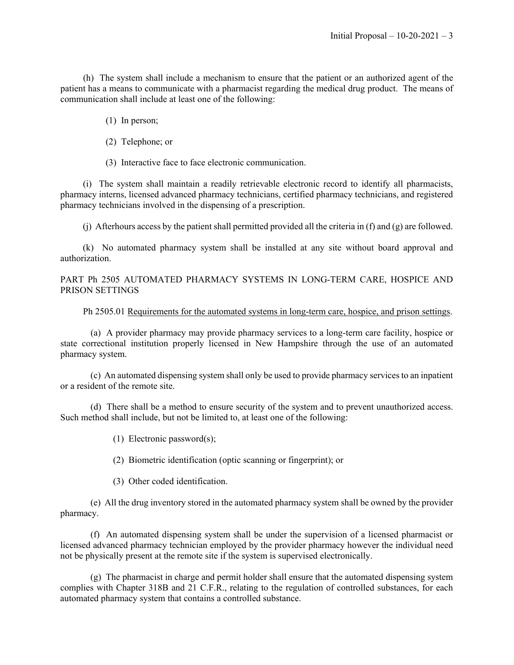(h) The system shall include a mechanism to ensure that the patient or an authorized agent of the patient has a means to communicate with a pharmacist regarding the medical drug product. The means of communication shall include at least one of the following:

- (1) In person;
- (2) Telephone; or
- (3) Interactive face to face electronic communication.

(i) The system shall maintain a readily retrievable electronic record to identify all pharmacists, pharmacy interns, licensed advanced pharmacy technicians, certified pharmacy technicians, and registered pharmacy technicians involved in the dispensing of a prescription.

(j) Afterhours access by the patient shall permitted provided all the criteria in (f) and (g) are followed.

(k) No automated pharmacy system shall be installed at any site without board approval and authorization.

PART Ph 2505 AUTOMATED PHARMACY SYSTEMS IN LONG-TERM CARE, HOSPICE AND PRISON SETTINGS

Ph 2505.01 Requirements for the automated systems in long-term care, hospice, and prison settings.

(a) A provider pharmacy may provide pharmacy services to a long-term care facility, hospice or state correctional institution properly licensed in New Hampshire through the use of an automated pharmacy system.

(c) An automated dispensing system shall only be used to provide pharmacy servicesto an inpatient or a resident of the remote site.

(d) There shall be a method to ensure security of the system and to prevent unauthorized access. Such method shall include, but not be limited to, at least one of the following:

- (1) Electronic password(s);
- (2) Biometric identification (optic scanning or fingerprint); or
- (3) Other coded identification.

(e) All the drug inventory stored in the automated pharmacy system shall be owned by the provider pharmacy.

(f) An automated dispensing system shall be under the supervision of a licensed pharmacist or licensed advanced pharmacy technician employed by the provider pharmacy however the individual need not be physically present at the remote site if the system is supervised electronically.

(g) The pharmacist in charge and permit holder shall ensure that the automated dispensing system complies with Chapter 318B and 21 C.F.R., relating to the regulation of controlled substances, for each automated pharmacy system that contains a controlled substance.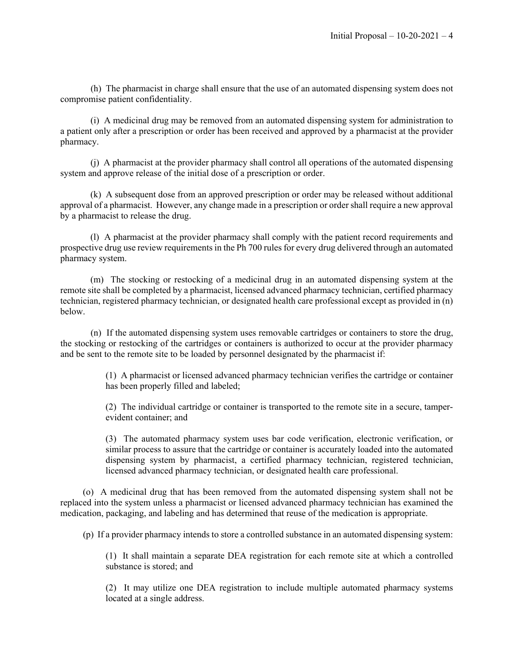(h) The pharmacist in charge shall ensure that the use of an automated dispensing system does not compromise patient confidentiality.

(i) A medicinal drug may be removed from an automated dispensing system for administration to a patient only after a prescription or order has been received and approved by a pharmacist at the provider pharmacy.

(j) A pharmacist at the provider pharmacy shall control all operations of the automated dispensing system and approve release of the initial dose of a prescription or order.

(k) A subsequent dose from an approved prescription or order may be released without additional approval of a pharmacist. However, any change made in a prescription or order shall require a new approval by a pharmacist to release the drug.

(l) A pharmacist at the provider pharmacy shall comply with the patient record requirements and prospective drug use review requirementsin the Ph 700 rules for every drug delivered through an automated pharmacy system.

(m) The stocking or restocking of a medicinal drug in an automated dispensing system at the remote site shall be completed by a pharmacist, licensed advanced pharmacy technician, certified pharmacy technician, registered pharmacy technician, or designated health care professional except as provided in (n) below.

(n) If the automated dispensing system uses removable cartridges or containers to store the drug, the stocking or restocking of the cartridges or containers is authorized to occur at the provider pharmacy and be sent to the remote site to be loaded by personnel designated by the pharmacist if:

> (1) A pharmacist or licensed advanced pharmacy technician verifies the cartridge or container has been properly filled and labeled;

> (2) The individual cartridge or container is transported to the remote site in a secure, tamperevident container; and

> (3) The automated pharmacy system uses bar code verification, electronic verification, or similar process to assure that the cartridge or container is accurately loaded into the automated dispensing system by pharmacist, a certified pharmacy technician, registered technician, licensed advanced pharmacy technician, or designated health care professional.

(o) A medicinal drug that has been removed from the automated dispensing system shall not be replaced into the system unless a pharmacist or licensed advanced pharmacy technician has examined the medication, packaging, and labeling and has determined that reuse of the medication is appropriate.

(p) If a provider pharmacy intends to store a controlled substance in an automated dispensing system:

(1) It shall maintain a separate DEA registration for each remote site at which a controlled substance is stored; and

(2) It may utilize one DEA registration to include multiple automated pharmacy systems located at a single address.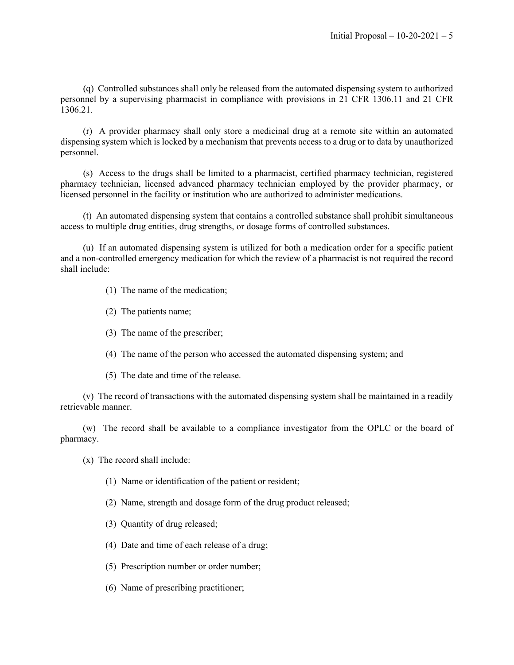(q) Controlled substances shall only be released from the automated dispensing system to authorized personnel by a supervising pharmacist in compliance with provisions in 21 CFR 1306.11 and 21 CFR 1306.21.

(r) A provider pharmacy shall only store a medicinal drug at a remote site within an automated dispensing system which is locked by a mechanism that prevents access to a drug or to data by unauthorized personnel.

(s) Access to the drugs shall be limited to a pharmacist, certified pharmacy technician, registered pharmacy technician, licensed advanced pharmacy technician employed by the provider pharmacy, or licensed personnel in the facility or institution who are authorized to administer medications.

(t) An automated dispensing system that contains a controlled substance shall prohibit simultaneous access to multiple drug entities, drug strengths, or dosage forms of controlled substances.

(u) If an automated dispensing system is utilized for both a medication order for a specific patient and a non-controlled emergency medication for which the review of a pharmacist is not required the record shall include:

- (1) The name of the medication;
- (2) The patients name;
- (3) The name of the prescriber;
- (4) The name of the person who accessed the automated dispensing system; and
- (5) The date and time of the release.

(v) The record of transactions with the automated dispensing system shall be maintained in a readily retrievable manner.

(w) The record shall be available to a compliance investigator from the OPLC or the board of pharmacy.

(x) The record shall include:

- (1) Name or identification of the patient or resident;
- (2) Name, strength and dosage form of the drug product released;
- (3) Quantity of drug released;
- (4) Date and time of each release of a drug;
- (5) Prescription number or order number;
- (6) Name of prescribing practitioner;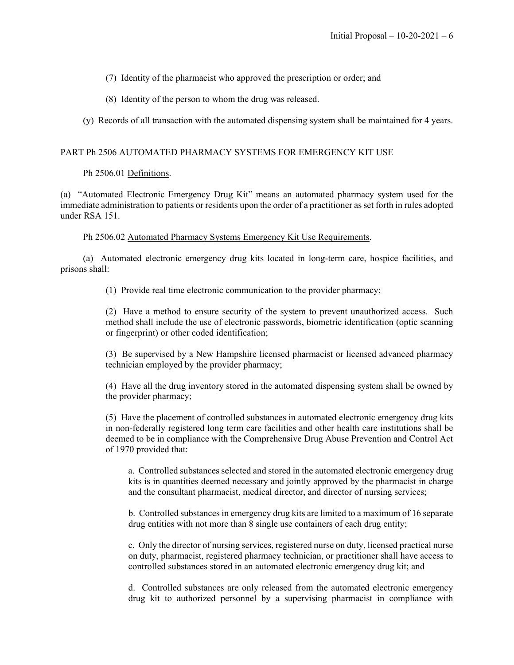(7) Identity of the pharmacist who approved the prescription or order; and

(8) Identity of the person to whom the drug was released.

(y) Records of all transaction with the automated dispensing system shall be maintained for 4 years.

# PART Ph 2506 AUTOMATED PHARMACY SYSTEMS FOR EMERGENCY KIT USE

## Ph 2506.01 Definitions.

(a) "Automated Electronic Emergency Drug Kit" means an automated pharmacy system used for the immediate administration to patients or residents upon the order of a practitioner as set forth in rules adopted under RSA 151.

Ph 2506.02 Automated Pharmacy Systems Emergency Kit Use Requirements.

(a) Automated electronic emergency drug kits located in long-term care, hospice facilities, and prisons shall:

(1) Provide real time electronic communication to the provider pharmacy;

(2) Have a method to ensure security of the system to prevent unauthorized access. Such method shall include the use of electronic passwords, biometric identification (optic scanning or fingerprint) or other coded identification;

(3) Be supervised by a New Hampshire licensed pharmacist or licensed advanced pharmacy technician employed by the provider pharmacy;

(4) Have all the drug inventory stored in the automated dispensing system shall be owned by the provider pharmacy;

(5) Have the placement of controlled substances in automated electronic emergency drug kits in non-federally registered long term care facilities and other health care institutions shall be deemed to be in compliance with the Comprehensive Drug Abuse Prevention and Control Act of 1970 provided that:

a. Controlled substances selected and stored in the automated electronic emergency drug kits is in quantities deemed necessary and jointly approved by the pharmacist in charge and the consultant pharmacist, medical director, and director of nursing services;

b. Controlled substances in emergency drug kits are limited to a maximum of 16 separate drug entities with not more than 8 single use containers of each drug entity;

c. Only the director of nursing services, registered nurse on duty, licensed practical nurse on duty, pharmacist, registered pharmacy technician, or practitioner shall have access to controlled substances stored in an automated electronic emergency drug kit; and

d. Controlled substances are only released from the automated electronic emergency drug kit to authorized personnel by a supervising pharmacist in compliance with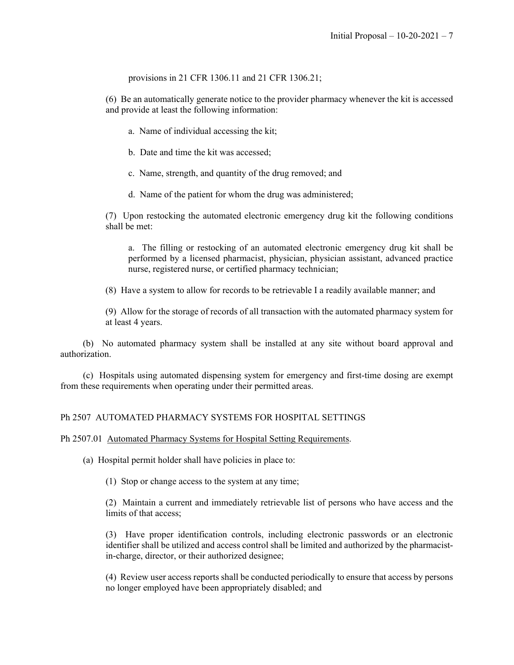provisions in 21 CFR 1306.11 and 21 CFR 1306.21;

(6) Be an automatically generate notice to the provider pharmacy whenever the kit is accessed and provide at least the following information:

- a. Name of individual accessing the kit;
- b. Date and time the kit was accessed;
- c. Name, strength, and quantity of the drug removed; and
- d. Name of the patient for whom the drug was administered;

(7) Upon restocking the automated electronic emergency drug kit the following conditions shall be met:

a. The filling or restocking of an automated electronic emergency drug kit shall be performed by a licensed pharmacist, physician, physician assistant, advanced practice nurse, registered nurse, or certified pharmacy technician;

(8) Have a system to allow for records to be retrievable I a readily available manner; and

(9) Allow for the storage of records of all transaction with the automated pharmacy system for at least 4 years.

(b) No automated pharmacy system shall be installed at any site without board approval and authorization.

(c) Hospitals using automated dispensing system for emergency and first-time dosing are exempt from these requirements when operating under their permitted areas.

# Ph 2507 AUTOMATED PHARMACY SYSTEMS FOR HOSPITAL SETTINGS

## Ph 2507.01 Automated Pharmacy Systems for Hospital Setting Requirements.

(a) Hospital permit holder shall have policies in place to:

(1) Stop or change access to the system at any time;

(2) Maintain a current and immediately retrievable list of persons who have access and the limits of that access;

(3) Have proper identification controls, including electronic passwords or an electronic identifier shall be utilized and access control shall be limited and authorized by the pharmacistin-charge, director, or their authorized designee;

(4) Review user access reports shall be conducted periodically to ensure that access by persons no longer employed have been appropriately disabled; and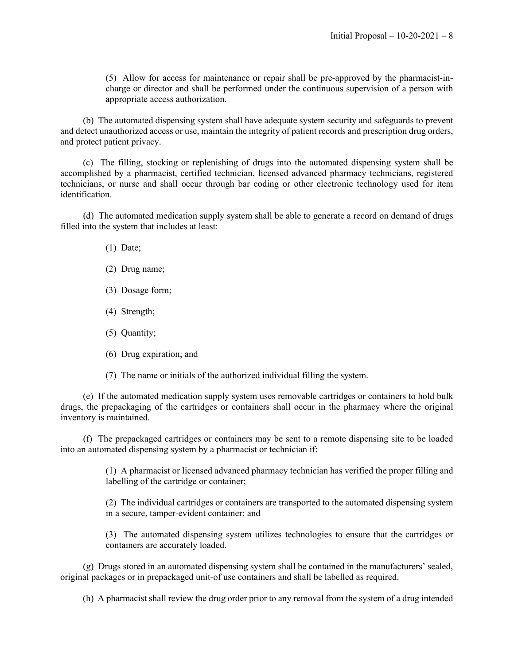(5) Allow for access for maintenance or repair shall be pre-approved by the pharmacist-incharge or director and shall be performed under the continuous supervision of a person with appropriate access authorization.

(b) The automated dispensing system shall have adequate system security and safeguards to prevent and detect unauthorized access or use, maintain the integrity of patient records and prescription drug orders, and protect patient privacy.

(c) The filling, stocking or replenishing of drugs into the automated dispensing system shall be accomplished by a pharmacist, certified technician, licensed advanced pharmacy technicians, registered technicians, or nurse and shall occur through bar coding or other electronic technology used for item identification.

(d) The automated medication supply system shall be able to generate a record on demand of drugs filled into the system that includes at least:

- (1) Date;
- (2) Drug name;
- (3) Dosage form;
- (4) Strength;
- (5) Quantity;
- (6) Drug expiration; and
- (7) The name or initials of the authorized individual filling the system.

(e) If the automated medication supply system uses removable cartridges or containers to hold bulk drugs, the prepackaging of the cartridges or containers shall occur in the pharmacy where the original inventory is maintained.

(f) The prepackaged cartridges or containers may be sent to a remote dispensing site to be loaded into an automated dispensing system by a pharmacist or technician if:

> (1) A pharmacist or licensed advanced pharmacy technician has verified the proper filling and labelling of the cartridge or container;

> (2) The individual cartridges or containers are transported to the automated dispensing system in a secure, tamper-evident container; and

> (3) The automated dispensing system utilizes technologies to ensure that the cartridges or containers are accurately loaded.

(g) Drugs stored in an automated dispensing system shall be contained in the manufacturers' sealed, original packages or in prepackaged unit-of use containers and shall be labelled as required.

(h) A pharmacist shall review the drug order prior to any removal from the system of a drug intended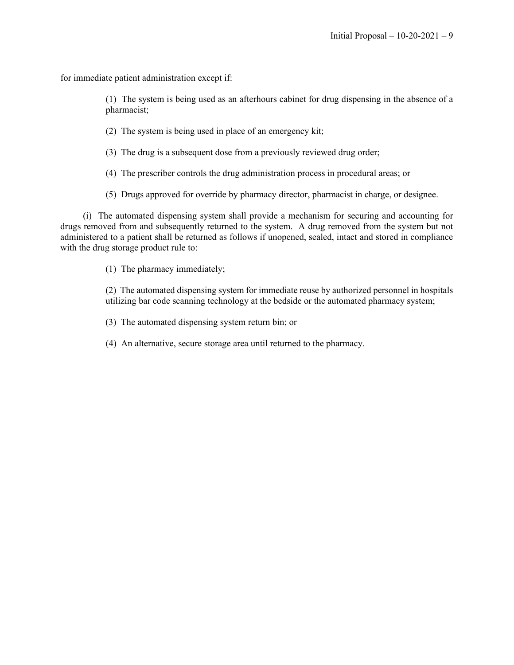for immediate patient administration except if:

(1) The system is being used as an afterhours cabinet for drug dispensing in the absence of a pharmacist;

(2) The system is being used in place of an emergency kit;

(3) The drug is a subsequent dose from a previously reviewed drug order;

(4) The prescriber controls the drug administration process in procedural areas; or

(5) Drugs approved for override by pharmacy director, pharmacist in charge, or designee.

(i) The automated dispensing system shall provide a mechanism for securing and accounting for drugs removed from and subsequently returned to the system. A drug removed from the system but not administered to a patient shall be returned as follows if unopened, sealed, intact and stored in compliance with the drug storage product rule to:

(1) The pharmacy immediately;

(2) The automated dispensing system for immediate reuse by authorized personnel in hospitals utilizing bar code scanning technology at the bedside or the automated pharmacy system;

(3) The automated dispensing system return bin; or

(4) An alternative, secure storage area until returned to the pharmacy.